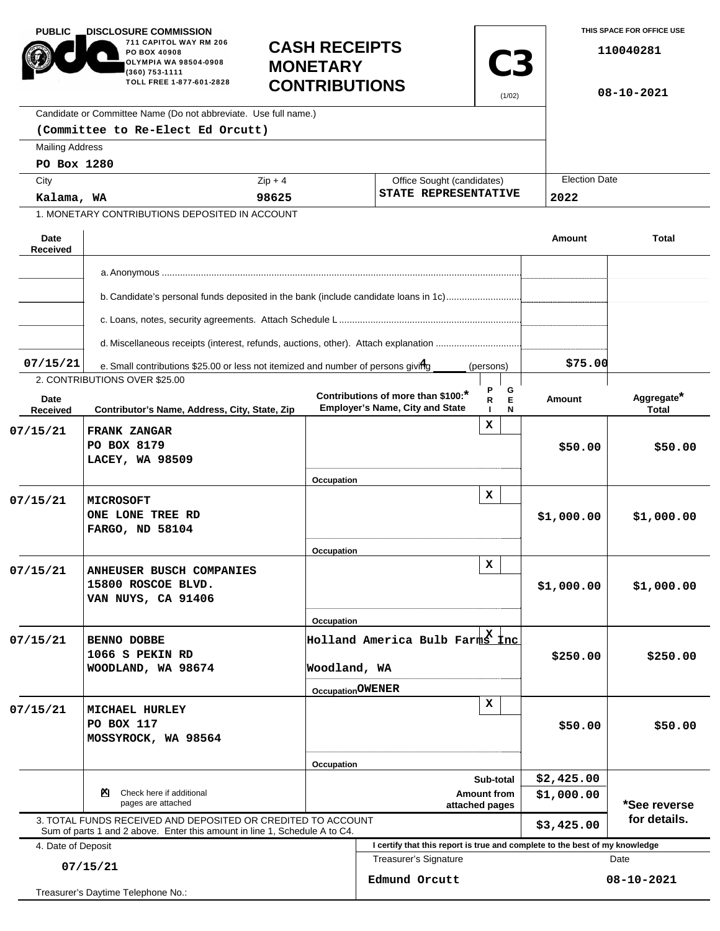| <b>PUBLIC</b>                                  | <b>DISCLOSURE COMMISSION.</b><br>711 CAPITOL WAY RM 206<br><b>CASH RECEIPTS</b><br>PO BOX 40908<br><b>OLYMPIA WA 98504-0908</b><br><b>MONETARY</b><br>(360) 753-1111<br>TOLL FREE 1-877-601-2828<br><b>CONTRIBUTIONS</b><br>Candidate or Committee Name (Do not abbreviate. Use full name.) |                                  |                                                                              | <b>C3</b><br>(1/02) |            | THIS SPACE FOR OFFICE USE<br>110040281<br>08-10-2021 |  |  |
|------------------------------------------------|---------------------------------------------------------------------------------------------------------------------------------------------------------------------------------------------------------------------------------------------------------------------------------------------|----------------------------------|------------------------------------------------------------------------------|---------------------|------------|------------------------------------------------------|--|--|
|                                                | (Committee to Re-Elect Ed Orcutt)                                                                                                                                                                                                                                                           |                                  |                                                                              |                     |            |                                                      |  |  |
| <b>Mailing Address</b>                         |                                                                                                                                                                                                                                                                                             |                                  |                                                                              |                     |            |                                                      |  |  |
| PO Box 1280                                    |                                                                                                                                                                                                                                                                                             |                                  |                                                                              |                     |            |                                                      |  |  |
| City                                           |                                                                                                                                                                                                                                                                                             | $Zip + 4$                        | Office Sought (candidates)                                                   |                     |            | <b>Election Date</b>                                 |  |  |
| Kalama, WA                                     | 98625                                                                                                                                                                                                                                                                                       |                                  | STATE REPRESENTATIVE                                                         |                     | 2022       |                                                      |  |  |
|                                                | 1. MONETARY CONTRIBUTIONS DEPOSITED IN ACCOUNT                                                                                                                                                                                                                                              |                                  |                                                                              |                     |            |                                                      |  |  |
| Date<br><b>Received</b>                        |                                                                                                                                                                                                                                                                                             |                                  |                                                                              |                     | Amount     | <b>Total</b>                                         |  |  |
|                                                |                                                                                                                                                                                                                                                                                             |                                  |                                                                              |                     |            |                                                      |  |  |
|                                                | b. Candidate's personal funds deposited in the bank (include candidate loans in 1c)                                                                                                                                                                                                         |                                  |                                                                              |                     |            |                                                      |  |  |
|                                                |                                                                                                                                                                                                                                                                                             |                                  |                                                                              |                     |            |                                                      |  |  |
|                                                | d. Miscellaneous receipts (interest, refunds, auctions, other). Attach explanation                                                                                                                                                                                                          |                                  |                                                                              |                     |            |                                                      |  |  |
| 07/15/21                                       | e. Small contributions \$25.00 or less not itemized and number of persons giving                                                                                                                                                                                                            |                                  |                                                                              | (persons)           | \$75.00    |                                                      |  |  |
|                                                | 2. CONTRIBUTIONS OVER \$25.00                                                                                                                                                                                                                                                               |                                  |                                                                              |                     |            |                                                      |  |  |
| Date<br>Received                               | Contributor's Name, Address, City, State, Zip                                                                                                                                                                                                                                               |                                  | Contributions of more than \$100:*<br><b>Employer's Name, City and State</b> | G<br>E<br>R<br>N    | Amount     | Aggregate*<br>Total                                  |  |  |
| 07/15/21                                       | FRANK ZANGAR<br>PO BOX 8179<br>LACEY, WA 98509                                                                                                                                                                                                                                              |                                  |                                                                              | x                   | \$50.00    | \$50.00                                              |  |  |
| 07/15/21                                       | <b>MICROSOFT</b><br>ONE LONE TREE RD<br>FARGO, ND 58104                                                                                                                                                                                                                                     | Occupation<br>Occupation         |                                                                              | x                   | \$1,000.00 | \$1,000.00                                           |  |  |
| 07/15/21                                       | <b>ANHEUSER BUSCH COMPANIES</b><br>15800 ROSCOE BLVD.<br>VAN NUYS, CA 91406                                                                                                                                                                                                                 | Occupation                       |                                                                              | x                   | \$1,000.00 | \$1,000.00                                           |  |  |
| 07/15/21                                       | <b>BENNO DOBBE</b><br>1066 S PEKIN RD<br>WOODLAND, WA 98674                                                                                                                                                                                                                                 | Woodland, WA<br>OccupationOWENER | Holland America Bulb Farms $\operatorname{\tt Inc}$                          |                     | \$250.00   | \$250.00                                             |  |  |
| 07/15/21                                       | MICHAEL HURLEY<br><b>PO BOX 117</b><br>MOSSYROCK, WA 98564                                                                                                                                                                                                                                  | Occupation                       |                                                                              | x                   | \$50.00    | \$50.00                                              |  |  |
|                                                |                                                                                                                                                                                                                                                                                             |                                  | Sub-total<br><b>Amount from</b><br>attached pages                            |                     | \$2,425.00 |                                                      |  |  |
|                                                | Check here if additional<br>PЧ.<br>pages are attached                                                                                                                                                                                                                                       |                                  |                                                                              |                     | \$1,000.00 | *See reverse                                         |  |  |
|                                                | 3. TOTAL FUNDS RECEIVED AND DEPOSITED OR CREDITED TO ACCOUNT<br>Sum of parts 1 and 2 above. Enter this amount in line 1, Schedule A to C4.                                                                                                                                                  |                                  |                                                                              |                     | \$3,425.00 | for details.                                         |  |  |
| 4. Date of Deposit                             |                                                                                                                                                                                                                                                                                             |                                  | I certify that this report is true and complete to the best of my knowledge  |                     |            |                                                      |  |  |
|                                                |                                                                                                                                                                                                                                                                                             |                                  | Treasurer's Signature                                                        |                     |            | Date                                                 |  |  |
| 07/15/21<br>Treasurer's Daytime Telephone No.: |                                                                                                                                                                                                                                                                                             |                                  | Edmund Orcutt                                                                |                     |            | 08-10-2021                                           |  |  |